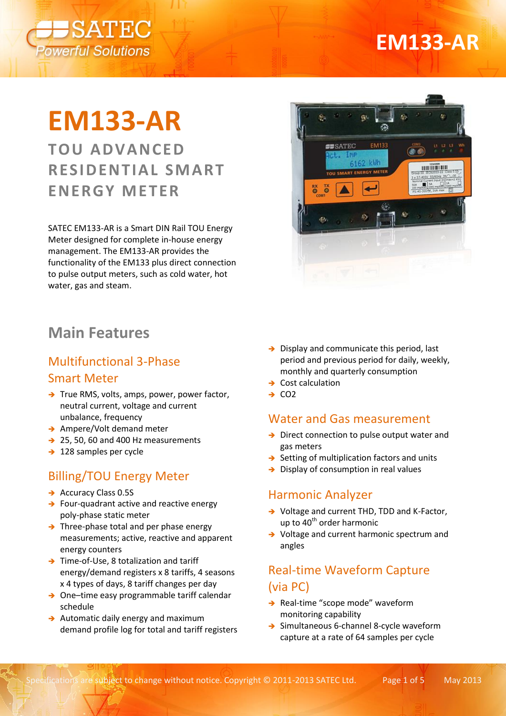

## **EM133-AR**

# **EM133-AR**

**TOU ADVANCED RESIDENTIAL SMART ENERGY M ETER**

SATEC EM133-AR is a Smart DIN Rail TOU Energy Meter designed for complete in-house energy management. The EM133-AR provides the functionality of the EM133 plus direct connection to pulse output meters, such as cold water, hot water, gas and steam.



## Multifunctional 3-Phase Smart Meter

- $\rightarrow$  True RMS, volts, amps, power, power factor, neutral current, voltage and current unbalance, frequency
- → Ampere/Volt demand meter
- $\rightarrow$  25, 50, 60 and 400 Hz measurements
- $\rightarrow$  128 samples per cycle

#### Billing/TOU Energy Meter

- $\rightarrow$  Accuracy Class 0.5S
- $\rightarrow$  Four-quadrant active and reactive energy poly-phase static meter
- $\rightarrow$  Three-phase total and per phase energy measurements; active, reactive and apparent energy counters
- → Time-of-Use, 8 totalization and tariff energy/demand registers x 8 tariffs, 4 seasons x 4 types of days, 8 tariff changes per day
- → One–time easy programmable tariff calendar schedule
- $\rightarrow$  Automatic daily energy and maximum demand profile log for total and tariff registers



- $\rightarrow$  Display and communicate this period, last period and previous period for daily, weekly, monthly and quarterly consumption
- $\rightarrow$  Cost calculation
- $\rightarrow$  CO<sub>2</sub>

#### Water and Gas measurement

- $\rightarrow$  Direct connection to pulse output water and gas meters
- $\rightarrow$  Setting of multiplication factors and units
- $\rightarrow$  Display of consumption in real values

#### Harmonic Analyzer

- → Voltage and current THD, TDD and K-Factor, up to  $40<sup>th</sup>$  order harmonic
- → Voltage and current harmonic spectrum and angles

## Real-time Waveform Capture (via PC)

- $\rightarrow$  Real-time "scope mode" waveform monitoring capability
- → Simultaneous 6-channel 8-cycle waveform capture at a rate of 64 samples per cycle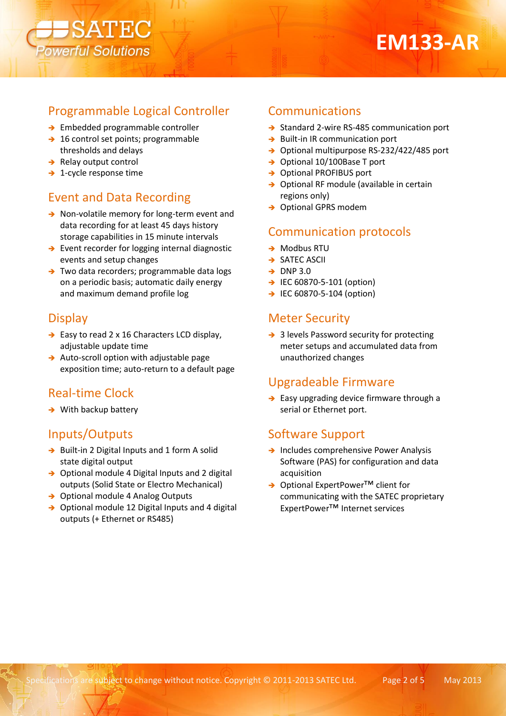

## Programmable Logical Controller

→ Embedded programmable controller

SATEC

verful Solutions

- $\rightarrow$  16 control set points; programmable thresholds and delays
- $\rightarrow$  Relay output control
- $\rightarrow$  1-cycle response time

#### Event and Data Recording

- → Non-volatile memory for long-term event and data recording for at least 45 days history storage capabilities in 15 minute intervals
- $\rightarrow$  Event recorder for logging internal diagnostic events and setup changes
- → Two data recorders; programmable data logs on a periodic basis; automatic daily energy and maximum demand profile log

#### **Display**

- $\rightarrow$  Easy to read 2 x 16 Characters LCD display, adjustable update time
- $\rightarrow$  Auto-scroll option with adjustable page exposition time; auto-return to a default page

## Real-time Clock

 $\rightarrow$  With backup battery

#### Inputs/Outputs

- → Built-in 2 Digital Inputs and 1 form A solid state digital output
- → Optional module 4 Digital Inputs and 2 digital outputs (Solid State or Electro Mechanical)
- → Optional module 4 Analog Outputs
- $\rightarrow$  Optional module 12 Digital Inputs and 4 digital outputs (+ Ethernet or RS485)

#### Communications

- $\rightarrow$  Standard 2-wire RS-485 communication port
- $\rightarrow$  Built-in IR communication port
- → Optional multipurpose RS-232/422/485 port
- → Optional 10/100Base T port
- → Optional PROFIBUS port
- → Optional RF module (available in certain regions only)
- → Optional GPRS modem

#### Communication protocols

- $\rightarrow$  Modbus RTU
- **→ SATEC ASCII**
- $\rightarrow$  DNP 3.0
- $\rightarrow$  IEC 60870-5-101 (option)
- $\rightarrow$  IEC 60870-5-104 (option)

#### Meter Security

→ 3 levels Password security for protecting meter setups and accumulated data from unauthorized changes

#### Upgradeable Firmware

 $\rightarrow$  Easy upgrading device firmware through a serial or Ethernet port.

#### Software Support

- $\rightarrow$  Includes comprehensive Power Analysis Software (PAS) for configuration and data acquisition
- → Optional ExpertPower<sup>TM</sup> client for communicating with the SATEC proprietary ExpertPower™ Internet services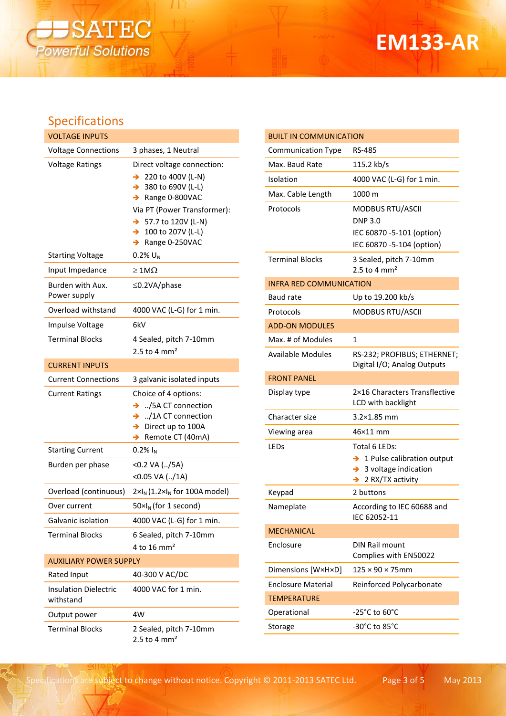

## **EM133-AR**

## Specifications

| <b>VOLTAGE INPUTS</b>                     |                                                                                                                                                                                                                                                   |
|-------------------------------------------|---------------------------------------------------------------------------------------------------------------------------------------------------------------------------------------------------------------------------------------------------|
| <b>Voltage Connections</b>                | 3 phases, 1 Neutral                                                                                                                                                                                                                               |
| <b>Voltage Ratings</b>                    | Direct voltage connection:<br>→ 220 to 400V (L-N)<br>$\rightarrow$ 380 to 690V (L-L)<br>$\rightarrow$ Range 0-800VAC<br>Via PT (Power Transformer):<br>$\rightarrow$ 57.7 to 120V (L-N)<br>$\rightarrow$ 100 to 207V (L-L)<br>Range 0-250VAC<br>→ |
| <b>Starting Voltage</b>                   | $0.2\%$ U <sub>N</sub>                                                                                                                                                                                                                            |
| Input Impedance                           | $\geq 1$ M $\Omega$                                                                                                                                                                                                                               |
| Burden with Aux.<br>Power supply          | $\leq$ 0.2VA/phase                                                                                                                                                                                                                                |
| Overload withstand                        | 4000 VAC (L-G) for 1 min.                                                                                                                                                                                                                         |
| Impulse Voltage                           | 6kV                                                                                                                                                                                                                                               |
| <b>Terminal Blocks</b>                    | 4 Sealed, pitch 7-10mm<br>2.5 to 4 $mm2$                                                                                                                                                                                                          |
| <b>CURRENT INPUTS</b>                     |                                                                                                                                                                                                                                                   |
| Current Connections                       | 3 galvanic isolated inputs                                                                                                                                                                                                                        |
|                                           |                                                                                                                                                                                                                                                   |
| <b>Current Ratings</b>                    | Choice of 4 options:<br>$\rightarrow$ ./5A CT connection<br>$\rightarrow$ /1A CT connection<br>$\rightarrow$ Direct up to 100A<br>Remote CT (40mA)<br>→                                                                                           |
| <b>Starting Current</b>                   | $0.2\%$ $I_{N}$                                                                                                                                                                                                                                   |
| Burden per phase                          | <0.2 VA (/5A)<br>$<$ 0.05 VA $(/1A)$                                                                                                                                                                                                              |
| Overload (continuous)                     | $2 \times I_N$ (1.2× $I_N$ for 100A model)                                                                                                                                                                                                        |
| Over current                              | $50 \times I_N$ (for 1 second)                                                                                                                                                                                                                    |
| Galvanic isolation                        | 4000 VAC (L-G) for 1 min.                                                                                                                                                                                                                         |
| <b>Terminal Blocks</b>                    | 6 Sealed, pitch 7-10mm<br>4 to 16 mm <sup>2</sup>                                                                                                                                                                                                 |
| <b>AUXILIARY POWER SUPPLY</b>             |                                                                                                                                                                                                                                                   |
| Rated Input                               | 40-300 V AC/DC                                                                                                                                                                                                                                    |
| <b>Insulation Dielectric</b><br>withstand | 4000 VAC for 1 min.                                                                                                                                                                                                                               |
| Output power                              | 4W                                                                                                                                                                                                                                                |

| <b>BUILT IN COMMUNICATION</b>  |                                                                                                            |
|--------------------------------|------------------------------------------------------------------------------------------------------------|
| <b>Communication Type</b>      | RS-485                                                                                                     |
| Max. Baud Rate                 | 115.2 kb/s                                                                                                 |
| Isolation                      | 4000 VAC (L-G) for 1 min.                                                                                  |
| Max. Cable Length              | 1000 m                                                                                                     |
| Protocols                      | <b>MODBUS RTU/ASCII</b>                                                                                    |
|                                | <b>DNP 3.0</b>                                                                                             |
|                                | IEC 60870 -5-101 (option)<br>IEC 60870 -5-104 (option)                                                     |
| Terminal Blocks                |                                                                                                            |
|                                | 3 Sealed, pitch 7-10mm<br>2.5 to 4 $mm2$                                                                   |
| <b>INFRA RED COMMUNICATION</b> |                                                                                                            |
| Baud rate                      | Up to 19.200 kb/s                                                                                          |
| Protocols                      | <b>MODBUS RTU/ASCII</b>                                                                                    |
| <b>ADD-ON MODULES</b>          |                                                                                                            |
| Max. # of Modules              | 1                                                                                                          |
| <b>Available Modules</b>       | RS-232; PROFIBUS; ETHERNET;<br>Digital I/O; Analog Outputs                                                 |
| <b>FRONT PANEL</b>             |                                                                                                            |
| Display type                   | 2×16 Characters Transflective<br>LCD with backlight                                                        |
| Character size                 | 3.2×1.85 mm                                                                                                |
| Viewing area                   | 46×11 mm                                                                                                   |
| LEDs                           | Total 6 LEDs:                                                                                              |
|                                | $\rightarrow$ 1 Pulse calibration output<br>3 voltage indication<br>$\rightarrow$<br>2 RX/TX activity<br>→ |
| Keypad                         | 2 buttons                                                                                                  |
| Nameplate                      | According to IEC 60688 and<br>IEC 62052-11                                                                 |
| <b>MECHANICAL</b>              |                                                                                                            |
| Enclosure                      | <b>DIN Rail mount</b><br>Complies with EN50022                                                             |
| Dimensions [W×H×D]             | $125 \times 90 \times 75$ mm                                                                               |
| <b>Enclosure Material</b>      | Reinforced Polycarbonate                                                                                   |
| <b>TEMPERATURE</b>             |                                                                                                            |
| Operational                    | -25°C to 60°C                                                                                              |
| Storage                        | -30°C to 85°C                                                                                              |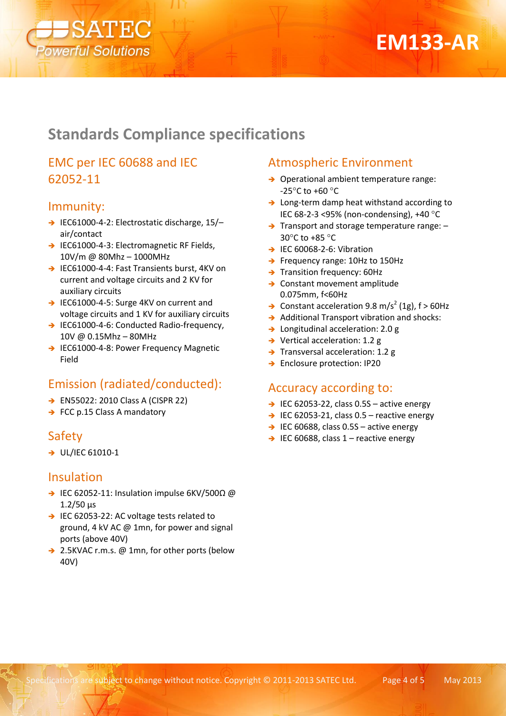

## **EM133-AR**

## **Standards Compliance specifications**

## EMC per IEC 60688 and IEC 62052-11

#### Immunity:

- → IEC61000-4-2: Electrostatic discharge, 15/air/contact
- → IEC61000-4-3: Electromagnetic RF Fields, 10V/m @ 80Mhz – 1000MHz
- → IEC61000-4-4: Fast Transients burst, 4KV on current and voltage circuits and 2 KV for auxiliary circuits
- → IEC61000-4-5: Surge 4KV on current and voltage circuits and 1 KV for auxiliary circuits
- → IEC61000-4-6: Conducted Radio-frequency, 10V @ 0.15Mhz – 80MHz
- → IEC61000-4-8: Power Frequency Magnetic Field

## Emission (radiated/conducted):

- → EN55022: 2010 Class A (CISPR 22)
- $\rightarrow$  FCC p.15 Class A mandatory

## Safety

 $\rightarrow$  UL/IEC 61010-1

#### Insulation

- IEC 62052-11: Insulation impulse 6KV/500Ω @ 1.2/50 μs
- → IEC 62053-22: AC voltage tests related to ground, 4 kV AC @ 1mn, for power and signal ports (above 40V)
- → 2.5KVAC r.m.s. @ 1mn, for other ports (below 40V)

## Atmospheric Environment

- → Operational ambient temperature range: -25 $^{\circ}$ C to +60 $^{\circ}$ C
- $\rightarrow$  Long-term damp heat withstand according to IEC 68-2-3 <95% (non-condensing),  $+40^{\circ}$ C
- $\rightarrow$  Transport and storage temperature range:  $-$ 30 $\degree$ C to +85 $\degree$ C
- $\rightarrow$  IEC 60068-2-6: Vibration
- → Frequency range: 10Hz to 150Hz
- $\rightarrow$  Transition frequency: 60Hz
- → Constant movement amplitude 0.075mm, f<60Hz
- $\rightarrow$  Constant acceleration 9.8 m/s<sup>2</sup> (1g), f > 60Hz
- $\rightarrow$  Additional Transport vibration and shocks:
- → Longitudinal acceleration: 2.0 g
- $\rightarrow$  Vertical acceleration: 1.2 g
- $\rightarrow$  Transversal acceleration: 1.2 g
- → Enclosure protection: IP20

#### Accuracy according to:

- $\rightarrow$  IEC 62053-22, class 0.5S active energy
- $\rightarrow$  IEC 62053-21, class 0.5 reactive energy
- $\rightarrow$  IEC 60688, class 0.5S active energy
- $\rightarrow$  IEC 60688, class 1 reactive energy